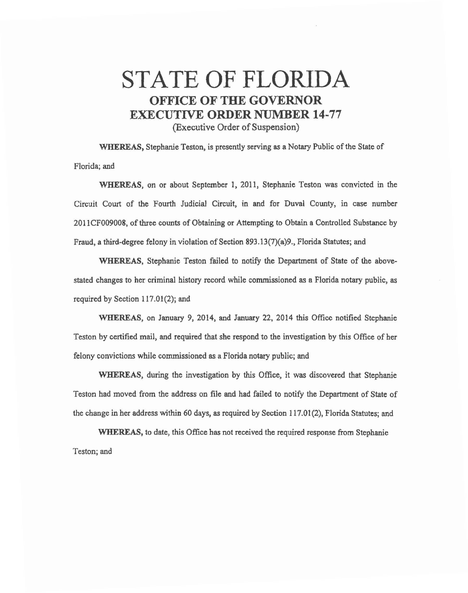## STATE OF FLORIDA OFFICE OF THE GOVERNOR EXECUTIVE ORDER NUMBER 14-77

(Executive Order of Suspension)

WHEREAS, Stephanie Teston, is presently serving as a Notary Public of the State of Florida; and

WHEREAS, on or about September 1, 2011, Stephanie Teston was convicted in the Circuit Court of the Fourth Judicial Circuit, in and for Duval County, in case number 2011 CF009008, of three counts of Obtaining or Attempting to Obtain a Controlled Substance by Fraud, a third-degree felony in violation of Section 893 .13(7)(a)9., Florida Statutes; and

WHEREAS, Stephanie Teston failed to notify the Department of State of the abovestated changes to her criminal history record while commissioned as a Florida notary public, as required by Section  $117.01(2)$ ; and

WHEREAS, on January 9, 2014, and January 22, 2014 this Office notified Stephanie Teston by certified mail, and required that she respond to the investigation by this Office of her felony convictions while commissioned as a Florida notary public; and

WHEREAS, during the investigation by this Office, it was discovered that Stephanie Teston had moved from the address on file and had failed to notify the Department of State of the change in her address within 60 days, as required by Section 117.01(2), Florida Statutes; and

WHEREAS, to date, this Office has not received the required response from Stephanie Teston; and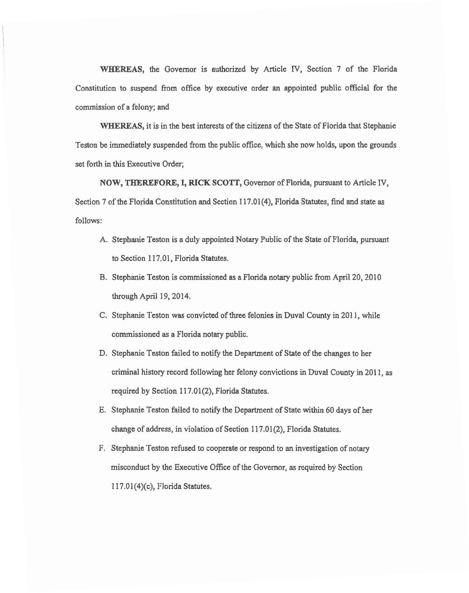WHEREAS, the Governor is authorized by Article IV, Section 7 of the Florida Constitution to suspend from office by executive order an appointed public official for the commission of a felony; and

WHEREAS, it is in the best interests of the citizens of the State of Florida that Stephanie Teston be immediately suspended from the public office, which she now holds, upon the grounds set forth in this Executive Order;

NOW, THEREFORE, I, RICK SCOTT, Governor of Florida, pursuant to Article IV, Section 7 of the Florida Constitution and Section 117.01(4), Florida Statutes, find and state as follows:

- A. Stephanie Teston is a duly appointed Notary Public of the State of Florida, pursuant to Section 117.01, Florida Statutes.
- B. Stephanie Teston is commissioned as a Florida notary public from April 20, 2010 through April 19, 2014.
- C. Stephanie Teston was convicted of three felonies in Duval County in 2011, while commissioned as a Florida notary public.
- D. Stephanie Teston failed to notify the Department of State of the changes to her criminal history record following her felony convictions in Duval County in 2011, as required by Section 117.01(2), Florida Statutes.
- E. Stephanie Teston failed to notify the Department of State within 60 days of her change of address, in violation of Section 117.01(2), Florida Statutes.
- F. Stephanie Teston refused to cooperate or respond to an investigation of notary misconduct by the Executive Office of the Governor, as required by Section l l 7.01(4)(c), Florida Statutes.